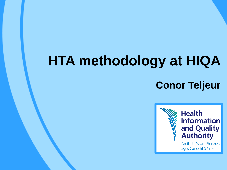# **HTA methodology at HIQA**

# **Conor Teljeur**

**Health Information** and Quality<br>Authority An tÚdarás Um Fhaisnéis agus Cáilíocht Sláinte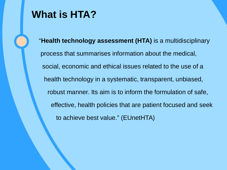# **What is HTA?**

"**Health technology assessment (HTA)** is a multidisciplinary process that summarises information about the medical, social, economic and ethical issues related to the use of a health technology in a systematic, transparent, unbiased, robust manner. Its aim is to inform the formulation of safe, effective, health policies that are patient focused and seek to achieve best value." (EUnetHTA)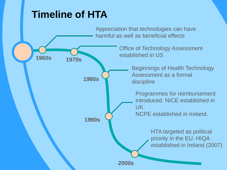# **Timeline of HTA**

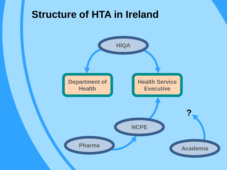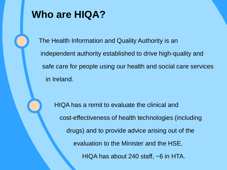# **Who are HIQA?**

The Health Information and Quality Authority is an independent authority established to drive high-quality and safe care for people using our health and social care services in Ireland.

 HIQA has a remit to evaluate the clinical and cost-effectiveness of health technologies (including drugs) and to provide advice arising out of the evaluation to the Minister and the HSE. HIQA has about 240 staff, ~6 in HTA.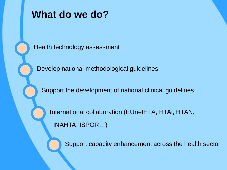

# **What do we do?**

Health technology assessment

Develop national methodological guidelines

Support the development of national clinical guidelines

International collaboration (EUnetHTA, HTAi, HTAN, INAHTA, ISPOR…)

Support capacity enhancement across the health sector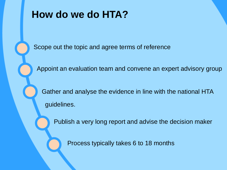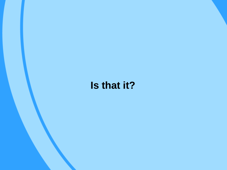# **Is that it?**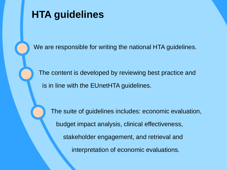

# **HTA guidelines**

We are responsible for writing the national HTA guidelines.

 The content is developed by reviewing best practice and is in line with the EUnetHTA guidelines.

 The suite of guidelines includes: economic evaluation, budget impact analysis, clinical effectiveness, stakeholder engagement, and retrieval and interpretation of economic evaluations.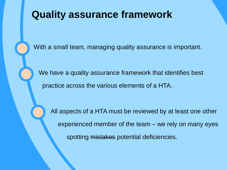# **Quality assurance framework**

With a small team, managing quality assurance is important.

 We have a quality assurance framework that identifies best practice across the various elements of a HTA.

 All aspects of a HTA must be reviewed by at least one other experienced member of the team – we rely on many eyes spotting mistakes potential deficiencies.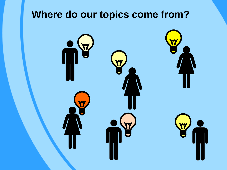# **Where do our topics come from?**

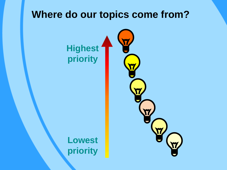# **Where do our topics come from?**

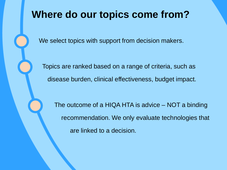# **Where do our topics come from?**

We select topics with support from decision makers.

 Topics are ranked based on a range of criteria, such as disease burden, clinical effectiveness, budget impact.

 The outcome of a HIQA HTA is advice – NOT a binding recommendation. We only evaluate technologies that are linked to a decision.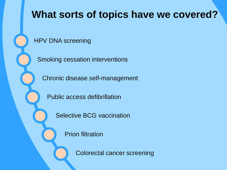# **What sorts of topics have we covered?**

HPV DNA screening

Smoking cessation interventions

Chronic disease self-management

Public access defibrillation

Selective BCG vaccination

Prion filtration

Colorectal cancer screening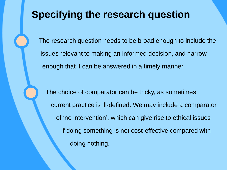# **Specifying the research question**

The research question needs to be broad enough to include the issues relevant to making an informed decision, and narrow enough that it can be answered in a timely manner.

 The choice of comparator can be tricky, as sometimes current practice is ill-defined. We may include a comparator of 'no intervention', which can give rise to ethical issues if doing something is not cost-effective compared with doing nothing.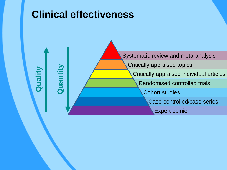

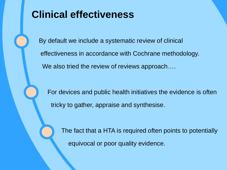# **Clinical effectiveness**

j

ì

By default we include a systematic review of clinical effectiveness in accordance with Cochrane methodology. We also tried the review of reviews approach....

 For devices and public health initiatives the evidence is often tricky to gather, appraise and synthesise.

 The fact that a HTA is required often points to potentially equivocal or poor quality evidence.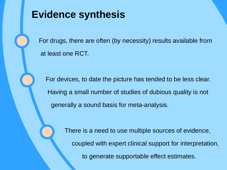

j

# **Evidence synthesis**

For drugs, there are often (by necessity) results available from at least one RCT.

 For devices, to date the picture has tended to be less clear. Having a small number of studies of dubious quality is not generally a sound basis for meta-analysis.

> There is a need to use multiple sources of evidence, coupled with expert clinical support for interpretation, to generate supportable effect estimates.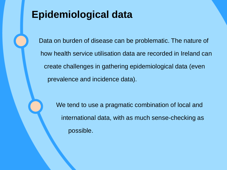# **Epidemiological data**

Data on burden of disease can be problematic. The nature of how health service utilisation data are recorded in Ireland can create challenges in gathering epidemiological data (even prevalence and incidence data).

 We tend to use a pragmatic combination of local and international data, with as much sense-checking as possible.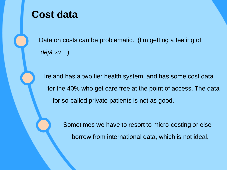

# **Cost data**

Data on costs can be problematic. (I'm getting a feeling of *déjà vu*…)

 Ireland has a two tier health system, and has some cost data for the 40% who get care free at the point of access. The data for so-called private patients is not as good.

> Sometimes we have to resort to micro-costing or else borrow from international data, which is not ideal.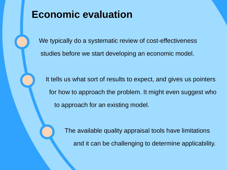# **Economic evaluation**

We typically do a systematic review of cost-effectiveness studies before we start developing an economic model.

 It tells us what sort of results to expect, and gives us pointers for how to approach the problem. It might even suggest who to approach for an existing model.

> The available quality appraisal tools have limitations and it can be challenging to determine applicability.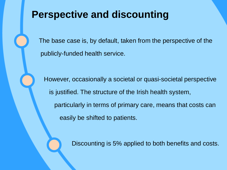# **Perspective and discounting**

The base case is, by default, taken from the perspective of the publicly-funded health service.

 However, occasionally a societal or quasi-societal perspective is justified. The structure of the Irish health system, particularly in terms of primary care, means that costs can easily be shifted to patients.

Discounting is 5% applied to both benefits and costs.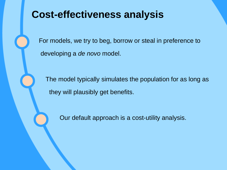For models, we try to beg, borrow or steal in preference to developing a *de novo* model.

 The model typically simulates the population for as long as they will plausibly get benefits.

Our default approach is a cost-utility analysis.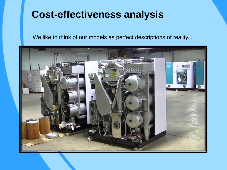We like to think of our models as perfect descriptions of reality...

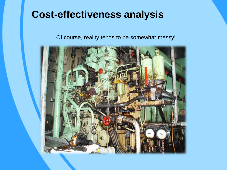... Of course, reality tends to be somewhat messy!

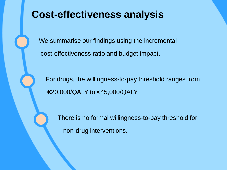We summarise our findings using the incremental cost-effectiveness ratio and budget impact.

 For drugs, the willingness-to-pay threshold ranges from €20,000/QALY to €45,000/QALY.

 There is no formal willingness-to-pay threshold for non-drug interventions.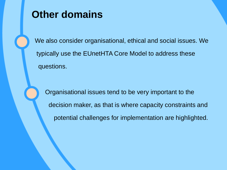# **Other domains**

We also consider organisational, ethical and social issues. We typically use the EUnetHTA Core Model to address these questions.

 Organisational issues tend to be very important to the decision maker, as that is where capacity constraints and potential challenges for implementation are highlighted.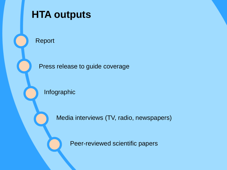

# Press release to guide coverage

Infographic

Media interviews (TV, radio, newspapers)

Peer-reviewed scientific papers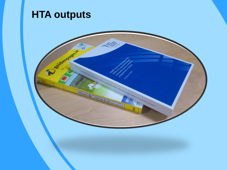# **HTA outputs**

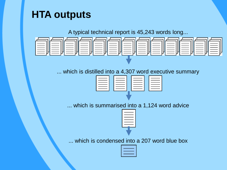# **HTA outputs**

A typical technical report is 45,243 words long...

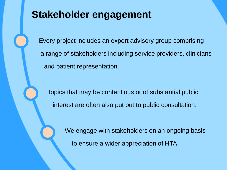# **Stakeholder engagement**

Every project includes an expert advisory group comprising a range of stakeholders including service providers, clinicians and patient representation.

 Topics that may be contentious or of substantial public interest are often also put out to public consultation.

> We engage with stakeholders on an ongoing basis to ensure a wider appreciation of HTA.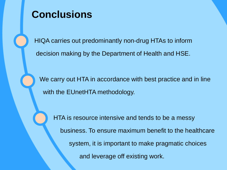

# **Conclusions**

HIQA carries out predominantly non-drug HTAs to inform decision making by the Department of Health and HSE.

 We carry out HTA in accordance with best practice and in line with the EUnetHTA methodology.

 HTA is resource intensive and tends to be a messy business. To ensure maximum benefit to the healthcare system, it is important to make pragmatic choices and leverage off existing work.